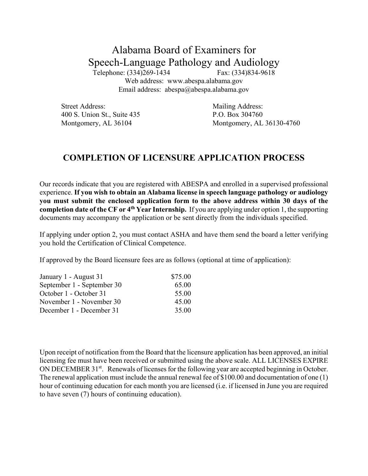## Alabama Board of Examiners for Speech-Language Pathology and Audiology

Telephone: (334)269-1434 Fax: (334)834-9618 Web address: www.abespa.alabama.gov Email address: abespa@abespa.alabama.gov

Street Address: Mailing Address: 400 S. Union St., Suite 435 P.O. Box 304760

Montgomery, AL 36104 Montgomery, AL 36130-4760

## **COMPLETION OF LICENSURE APPLICATION PROCESS**

Our records indicate that you are registered with ABESPA and enrolled in a supervised professional experience. **If you wish to obtain an Alabama license in speech language pathology or audiology you must submit the enclosed application form to the above address within 30 days of the completion date of the CF or 4th Year Internship.** If you are applying under option 1, the supporting documents may accompany the application or be sent directly from the individuals specified.

If applying under option 2, you must contact ASHA and have them send the board a letter verifying you hold the Certification of Clinical Competence.

If approved by the Board licensure fees are as follows (optional at time of application):

| January 1 - August 31      | \$75.00 |
|----------------------------|---------|
| September 1 - September 30 | 65.00   |
| October 1 - October 31     | 55.00   |
| November 1 - November 30   | 45.00   |
| December 1 - December 31   | 35.00   |

Upon receipt of notification from the Board that the licensure application has been approved, an initial licensing fee must have been received or submitted using the above scale. ALL LICENSES EXPIRE ON DECEMBER 31<sup>st</sup>. Renewals of licenses for the following year are accepted beginning in October. The renewal application must include the annual renewal fee of \$100.00 and documentation of one (1) hour of continuing education for each month you are licensed (i.e. if licensed in June you are required to have seven (7) hours of continuing education).